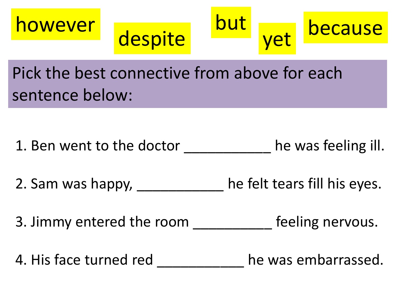







Pick the best connective from above for each sentence below:

1. Ben went to the doctor The was feeling ill.

2. Sam was happy, the felt tears fill his eyes.

3. Jimmy entered the room end feeling nervous.

4. His face turned red by the was embarrassed.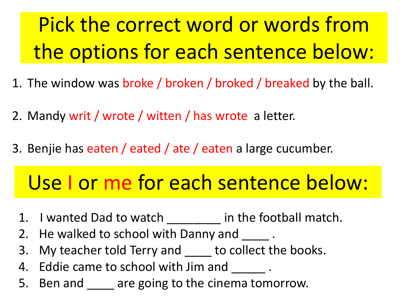# Pick the correct word or words from the options for each sentence below:

- 1. The window was broke / broken / broked / breaked by the ball.
- 2. Mandy writ / wrote / witten / has wrote a letter.
- 3. Benjie has eaten / eated / ate / eaten a large cucumber.

# Use I or me for each sentence below:

- 1. I wanted Dad to watch \_\_\_\_\_\_\_\_ in the football match.
- 2. He walked to school with Danny and \_\_\_\_\_.
- 3. My teacher told Terry and \_\_\_\_ to collect the books.
- 4. Eddie came to school with Jim and \_\_\_\_\_\_.
- 5. Ben and **the are going to the cinema tomorrow.**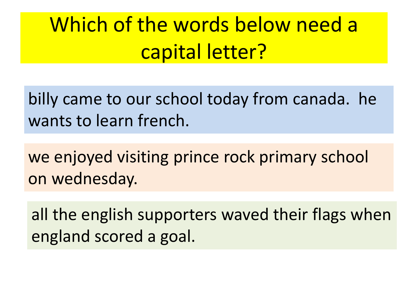# Which of the words below need a capital letter?

billy came to our school today from canada. he wants to learn french.

we enjoyed visiting prince rock primary school on wednesday.

all the english supporters waved their flags when england scored a goal.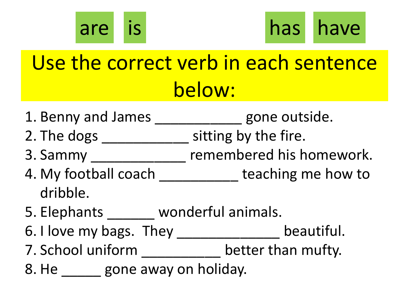



# Use the correct verb in each sentence below:

- 1. Benny and James entity and gone outside.
- 2. The dogs \_\_\_\_\_\_\_\_\_\_\_\_\_\_\_ sitting by the fire.
- 3. Sammy \_\_\_\_\_\_\_\_\_\_\_\_ remembered his homework.
- 4. My football coach teaching me how to dribble.
- 5. Elephants wonderful animals.
- 6. I love my bags. They \_\_\_\_\_\_\_\_\_\_\_\_\_\_\_ beautiful.
- 7. School uniform \_\_\_\_\_\_\_\_\_\_ better than mufty.
- 8. He gone away on holiday.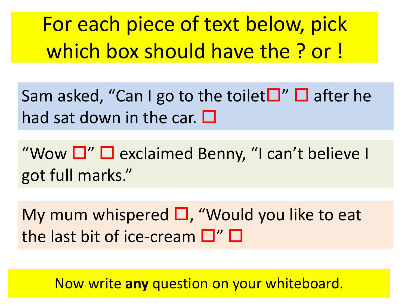For each piece of text below, pick which box should have the ? or !

Sam asked, "Can I go to the toilet  $\Box$ "  $\Box$  after he had sat down in the car.  $\Box$ 

"Wow  $\Box$ "  $\Box$  exclaimed Benny, "I can't believe I got full marks."

My mum whispered  $\square$ , "Would you like to eat the last bit of ice-cream  $\Box''$   $\Box$ 

Now write **any** question on your whiteboard.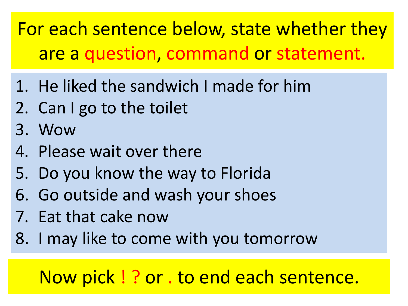For each sentence below, state whether they are a question, command or statement.

- 1. He liked the sandwich I made for him
- 2. Can I go to the toilet
- 3. Wow
- 4. Please wait over there
- 5. Do you know the way to Florida
- 6. Go outside and wash your shoes
- 7. Eat that cake now
- 8. I may like to come with you tomorrow

# Now pick ! ? or . to end each sentence.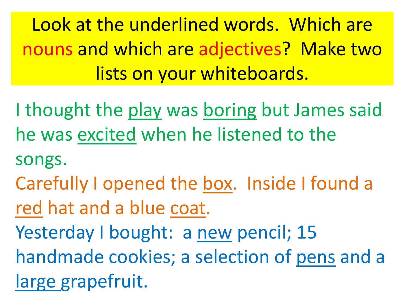Look at the underlined words. Which are nouns and which are adjectives? Make two lists on your whiteboards.

I thought the play was boring but James said he was excited when he listened to the

songs.

Carefully I opened the box. Inside I found a red hat and a blue coat.

Yesterday I bought: a new pencil; 15

handmade cookies; a selection of pens and a

large grapefruit.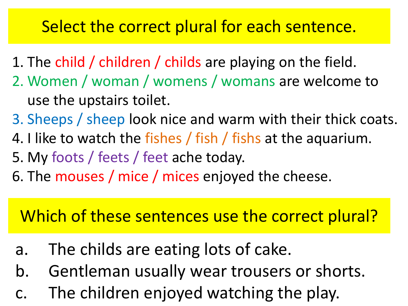#### Select the correct plural for each sentence.

- 1. The child / children / childs are playing on the field.
- 2. Women / woman / womens / womans are welcome to use the upstairs toilet.
- 3. Sheeps / sheep look nice and warm with their thick coats.
- 4. I like to watch the fishes / fish / fishs at the aquarium.
- 5. My foots / feets / feet ache today.
- 6. The mouses / mice / mices enjoyed the cheese.

## Which of these sentences use the correct plural?

- a. The childs are eating lots of cake.
- b. Gentleman usually wear trousers or shorts.
- c. The children enjoyed watching the play.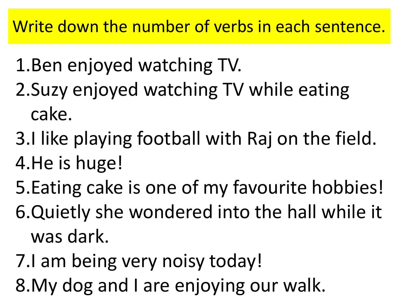- 1.Ben enjoyed watching TV. 2.Suzy enjoyed watching TV while eating cake.
- 3.I like playing football with Raj on the field. 4.He is huge!
- 5.Eating cake is one of my favourite hobbies! 6.Quietly she wondered into the hall while it
- was dark.
- 7.I am being very noisy today!
- 8.My dog and I are enjoying our walk.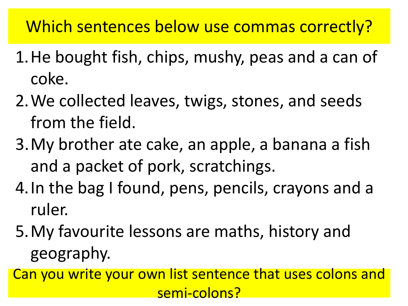Which sentences below use commas correctly?

- 1.He bought fish, chips, mushy, peas and a can of coke.
- 2.We collected leaves, twigs, stones, and seeds from the field.
- 3.My brother ate cake, an apple, a banana a fish and a packet of pork, scratchings.
- 4.In the bag I found, pens, pencils, crayons and a ruler.
- 5.My favourite lessons are maths, history and geography.
- Can you write your own list sentence that uses colons and semi-colons?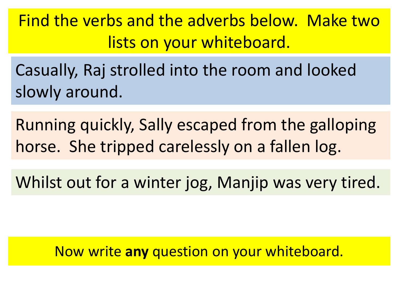Find the verbs and the adverbs below. Make two lists on your whiteboard.

Casually, Raj strolled into the room and looked slowly around.

Running quickly, Sally escaped from the galloping horse. She tripped carelessly on a fallen log.

Whilst out for a winter jog, Manjip was very tired.

Now write **any** question on your whiteboard.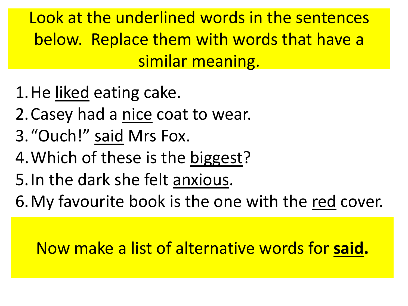Look at the underlined words in the sentences below. Replace them with words that have a similar meaning.

- 1.He liked eating cake.
- 2.Casey had a nice coat to wear.
- 3."Ouch!" said Mrs Fox.
- 4.Which of these is the biggest?
- 5.In the dark she felt anxious.
- 6.My favourite book is the one with the red cover.

Now make a list of alternative words for **said.**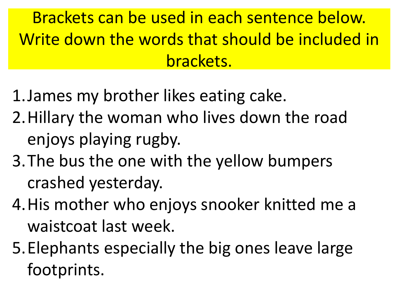Brackets can be used in each sentence below. Write down the words that should be included in brackets.

- 1.James my brother likes eating cake.
- 2.Hillary the woman who lives down the road enjoys playing rugby.
- 3.The bus the one with the yellow bumpers crashed yesterday.
- 4.His mother who enjoys snooker knitted me a waistcoat last week.
- 5.Elephants especially the big ones leave large footprints.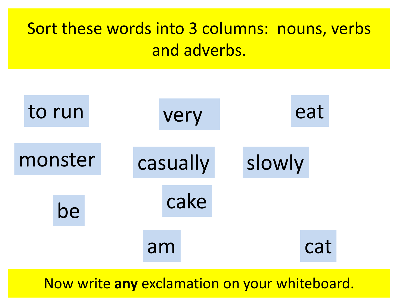## Sort these words into 3 columns: nouns, verbs and adverbs.



Now write **any** exclamation on your whiteboard.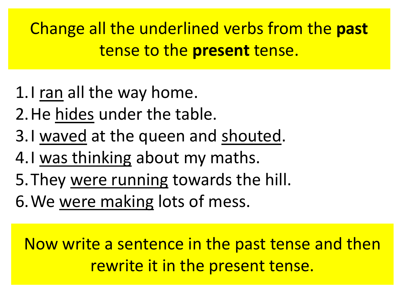Change all the underlined verbs from the **past** tense to the **present** tense.

- 1.I ran all the way home.
- 2.He hides under the table.
- 3.I waved at the queen and shouted.
- 4.I was thinking about my maths.
- 5.They were running towards the hill.
- 6.We were making lots of mess.

Now write a sentence in the past tense and then rewrite it in the present tense.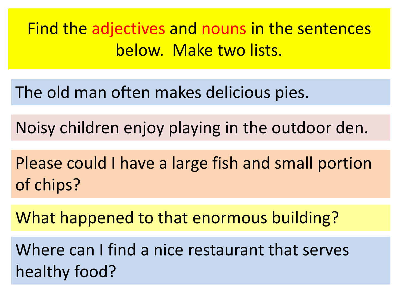Find the adjectives and nouns in the sentences below. Make two lists.

The old man often makes delicious pies.

Noisy children enjoy playing in the outdoor den.

Please could I have a large fish and small portion of chips?

What happened to that enormous building?

Where can I find a nice restaurant that serves healthy food?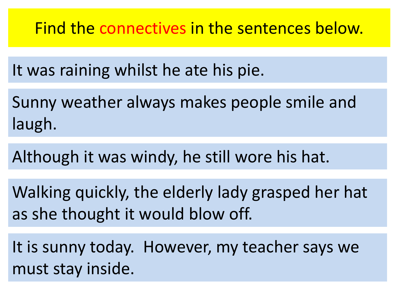Find the connectives in the sentences below.

It was raining whilst he ate his pie.

Sunny weather always makes people smile and laugh.

Although it was windy, he still wore his hat.

Walking quickly, the elderly lady grasped her hat as she thought it would blow off.

It is sunny today. However, my teacher says we must stay inside.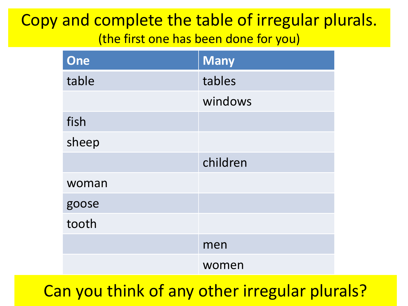#### Copy and complete the table of irregular plurals. (the first one has been done for you)

| One   | <b>Many</b> |
|-------|-------------|
| table | tables      |
|       | windows     |
| fish  |             |
| sheep |             |
|       | children    |
| woman |             |
| goose |             |
| tooth |             |
|       | men         |
|       | women       |

Can you think of any other irregular plurals?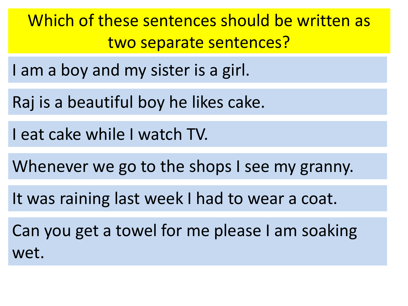Which of these sentences should be written as two separate sentences?

I am a boy and my sister is a girl.

Raj is a beautiful boy he likes cake.

I eat cake while I watch TV.

Whenever we go to the shops I see my granny.

It was raining last week I had to wear a coat.

Can you get a towel for me please I am soaking wet.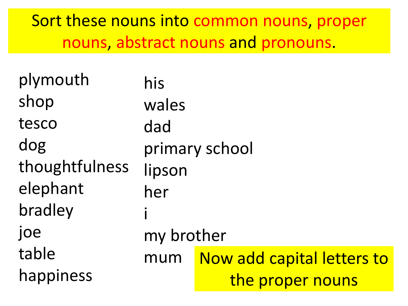Sort these nouns into common nouns, proper nouns, abstract nouns and pronouns.

| plymouth       | his        |                            |
|----------------|------------|----------------------------|
| shop           | wales      |                            |
| tesco          | dad        |                            |
| dog            |            | primary school             |
| thoughtfulness | lipson     |                            |
| elephant       | her        |                            |
| bradley        |            |                            |
| joe            | my brother |                            |
| table          | mum        | Now add capital letters to |
| happiness      |            | the proper nouns           |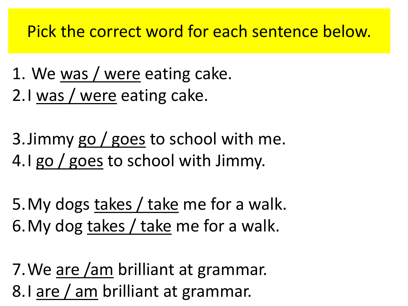#### Pick the correct word for each sentence below.

- 1. We was / were eating cake.
- 2.I was / were eating cake.
- 3.Jimmy go / goes to school with me. 4.I go / goes to school with Jimmy.
- 5.My dogs takes / take me for a walk. 6.My dog takes / take me for a walk.
- 7.We are /am brilliant at grammar. 8.I are / am brilliant at grammar.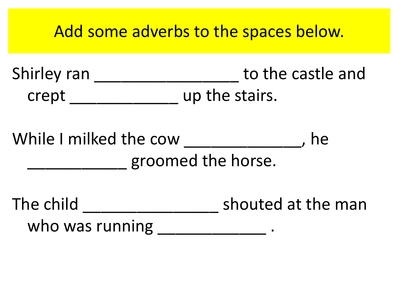#### Add some adverbs to the spaces below.

Shirley ran \_\_\_\_\_\_\_\_\_\_\_\_\_\_\_\_\_\_\_\_\_ to the castle and crept \_\_\_\_\_\_\_\_\_\_\_\_ up the stairs.

While I milked the cow The Reset and the compared the set of the set of the set of the set of the set of the s \_\_\_\_\_\_\_\_\_\_\_ groomed the horse.

The child and shouted at the man who was running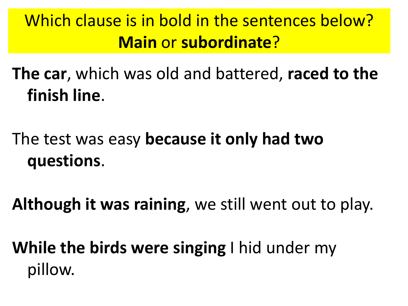# Which clause is in bold in the sentences below? **Main** or **subordinate**?

**The car**, which was old and battered, **raced to the finish line**.

# The test was easy **because it only had two questions**.

**Although it was raining**, we still went out to play.

**While the birds were singing** I hid under my pillow.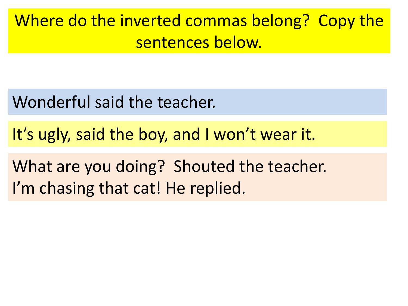Where do the inverted commas belong? Copy the sentences below.

Wonderful said the teacher.

It's ugly, said the boy, and I won't wear it.

What are you doing? Shouted the teacher. I'm chasing that cat! He replied.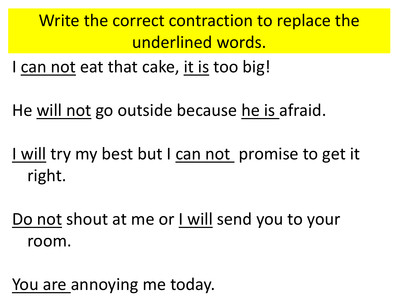Write the correct contraction to replace the underlined words.

I can not eat that cake, it is too big!

He will not go outside because he is afraid.

I will try my best but I can not promise to get it right.

Do not shout at me or I will send you to your room.

You are annoying me today.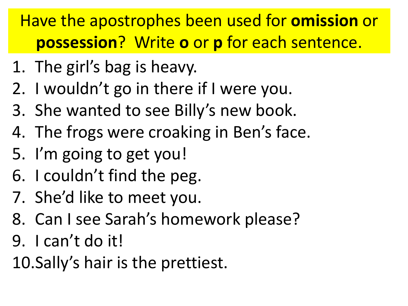# Have the apostrophes been used for **omission** or **possession**? Write **o** or **p** for each sentence.

- 1. The girl's bag is heavy.
- 2. I wouldn't go in there if I were you.
- 3. She wanted to see Billy's new book.
- 4. The frogs were croaking in Ben's face.
- 5. I'm going to get you!
- 6. I couldn't find the peg.
- 7. She'd like to meet you.
- 8. Can I see Sarah's homework please?
- 9. I can't do it!
- 10.Sally's hair is the prettiest.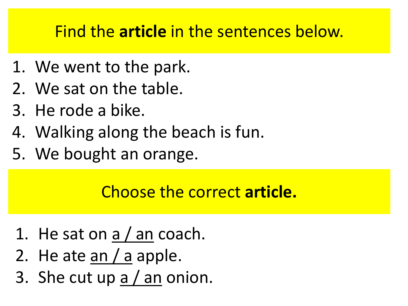### Find the **article** in the sentences below.

- 1. We went to the park.
- 2. We sat on the table.
- 3. He rode a bike.
- 4. Walking along the beach is fun.
- 5. We bought an orange.

#### Choose the correct **article.**

- 1. He sat on a / an coach.
- 2. He ate  $an/a$  apple.
- 3. She cut up a / an onion.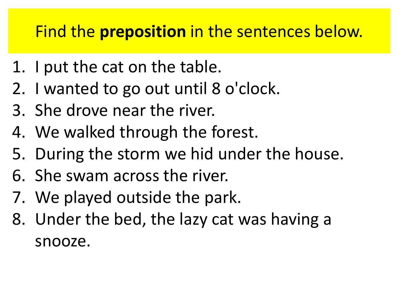## Find the **preposition** in the sentences below.

- 1. I put the cat on the table.
- 2. I wanted to go out until 8 o'clock.
- 3. She drove near the river.
- 4. We walked through the forest.
- 5. During the storm we hid under the house.
- 6. She swam across the river.
- 7. We played outside the park.
- 8. Under the bed, the lazy cat was having a snooze.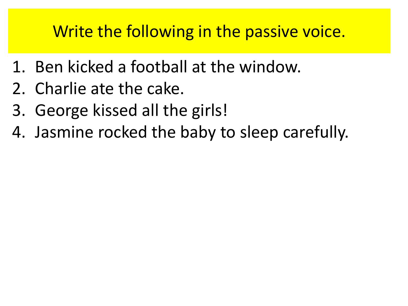## Write the following in the passive voice.

- 1. Ben kicked a football at the window.
- 2. Charlie ate the cake.
- 3. George kissed all the girls!
- 4. Jasmine rocked the baby to sleep carefully.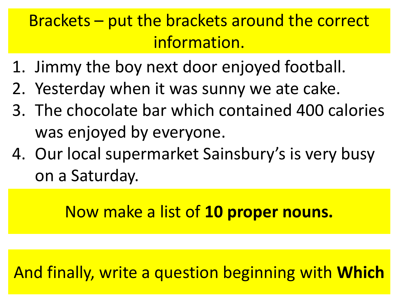## Brackets – put the brackets around the correct information.

- 1. Jimmy the boy next door enjoyed football.
- 2. Yesterday when it was sunny we ate cake.
- 3. The chocolate bar which contained 400 calories was enjoyed by everyone.
- 4. Our local supermarket Sainsbury's is very busy on a Saturday.

Now make a list of **10 proper nouns.**

And finally, write a question beginning with **Which**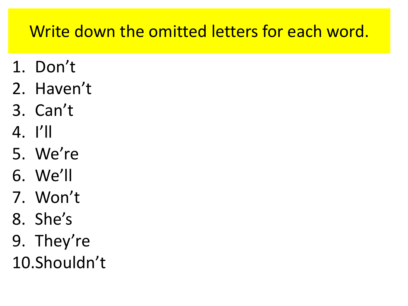## Write down the omitted letters for each word.

- 1. Don't
- 2. Haven't
- 3. Can't
- 4. I'll
- 5. We're
- 6. We'll
- 7. Won't
- 8. She's
- 9. They're
- 10.Shouldn't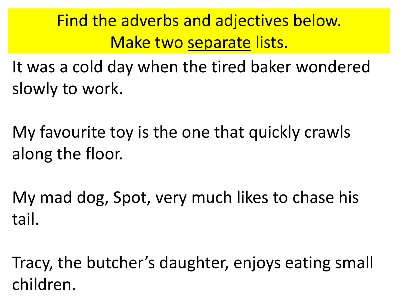Find the adverbs and adjectives below. Make two separate lists.

It was a cold day when the tired baker wondered slowly to work.

My favourite toy is the one that quickly crawls along the floor.

My mad dog, Spot, very much likes to chase his tail.

Tracy, the butcher's daughter, enjoys eating small children.